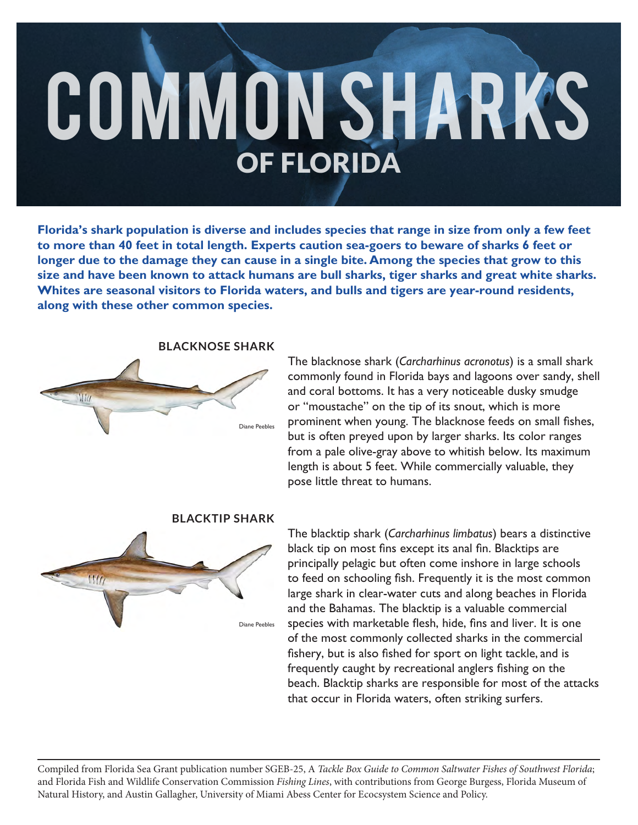# COMMON SHARKS OF FLORIDA

**Florida's shark population is diverse and includes species that range in size from only a few feet to more than 40 feet in total length. Experts caution sea-goers to beware of sharks 6 feet or longer due to the damage they can cause in a single bite. Among the species that grow to this size and have been known to attack humans are bull sharks, tiger sharks and great white sharks. Whites are seasonal visitors to Florida waters, and bulls and tigers are year-round residents, along with these other common species.**



# **BLACKNOSE SHARK**

The blacknose shark (*Carcharhinus acronotus*) is a small shark commonly found in Florida bays and lagoons over sandy, shell and coral bottoms. It has a very noticeable dusky smudge or "moustache" on the tip of its snout, which is more prominent when young. The blacknose feeds on small fishes, but is often preyed upon by larger sharks. Its color ranges from a pale olive-gray above to whitish below. Its maximum length is about 5 feet. While commercially valuable, they pose little threat to humans.



## **BLACKTIP SHARK**

The blacktip shark (*Carcharhinus limbatus*) bears a distinctive black tip on most fins except its anal fin. Blacktips are principally pelagic but often come inshore in large schools to feed on schooling fish. Frequently it is the most common large shark in clear-water cuts and along beaches in Florida and the Bahamas. The blacktip is a valuable commercial species with marketable flesh, hide, fins and liver. It is one of the most commonly collected sharks in the commercial fishery, but is also fished for sport on light tackle, and is frequently caught by recreational anglers fishing on the beach. Blacktip sharks are responsible for most of the attacks that occur in Florida waters, often striking surfers.

Compiled from Florida Sea Grant publication number SGEB-25, A *Tackle Box Guide to Common Saltwater Fishes of Southwest Florida*; and Florida Fish and Wildlife Conservation Commission *Fishing Lines*, with contributions from George Burgess, Florida Museum of Natural History, and Austin Gallagher, University of Miami Abess Center for Ecocsystem Science and Policy.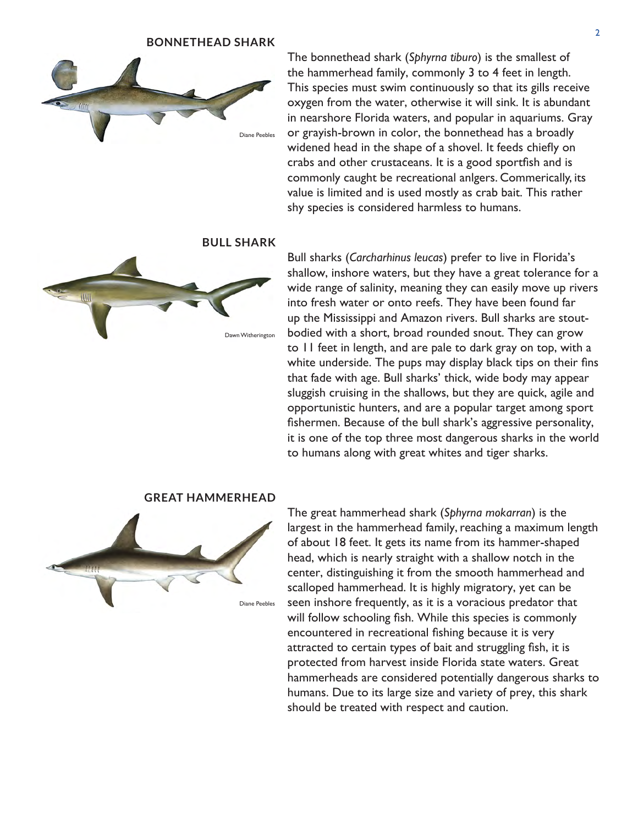#### **BONNETHEAD SHARK**



The bonnethead shark (*Sphyrna tiburo*) is the smallest of the hammerhead family, commonly 3 to 4 feet in length. This species must swim continuously so that its gills receive oxygen from the water, otherwise it will sink. It is abundant in nearshore Florida waters, and popular in aquariums. Gray or grayish-brown in color, the bonnethead has a broadly widened head in the shape of a shovel. It feeds chiefly on crabs and other crustaceans. It is a good sportfish and is commonly caught be recreational anlgers. Commerically, its value is limited and is used mostly as crab bait. This rather shy species is considered harmless to humans.

**BULL SHARK**



Bull sharks (*Carcharhinus leucas*) prefer to live in Florida's shallow, inshore waters, but they have a great tolerance for a wide range of salinity, meaning they can easily move up rivers into fresh water or onto reefs. They have been found far up the Mississippi and Amazon rivers. Bull sharks are stoutbodied with a short, broad rounded snout. They can grow to 11 feet in length, and are pale to dark gray on top, with a white underside. The pups may display black tips on their fins that fade with age. Bull sharks' thick, wide body may appear sluggish cruising in the shallows, but they are quick, agile and opportunistic hunters, and are a popular target among sport fishermen. Because of the bull shark's aggressive personality, it is one of the top three most dangerous sharks in the world to humans along with great whites and tiger sharks.



**GREAT HAMMERHEAD**

The great hammerhead shark (*Sphyrna mokarran*) is the largest in the hammerhead family, reaching a maximum length of about 18 feet. It gets its name from its hammer-shaped head, which is nearly straight with a shallow notch in the center, distinguishing it from the smooth hammerhead and scalloped hammerhead. It is highly migratory, yet can be seen inshore frequently, as it is a voracious predator that will follow schooling fish. While this species is commonly encountered in recreational fishing because it is very attracted to certain types of bait and struggling fish, it is protected from harvest inside Florida state waters. Great hammerheads are considered potentially dangerous sharks to humans. Due to its large size and variety of prey, this shark should be treated with respect and caution.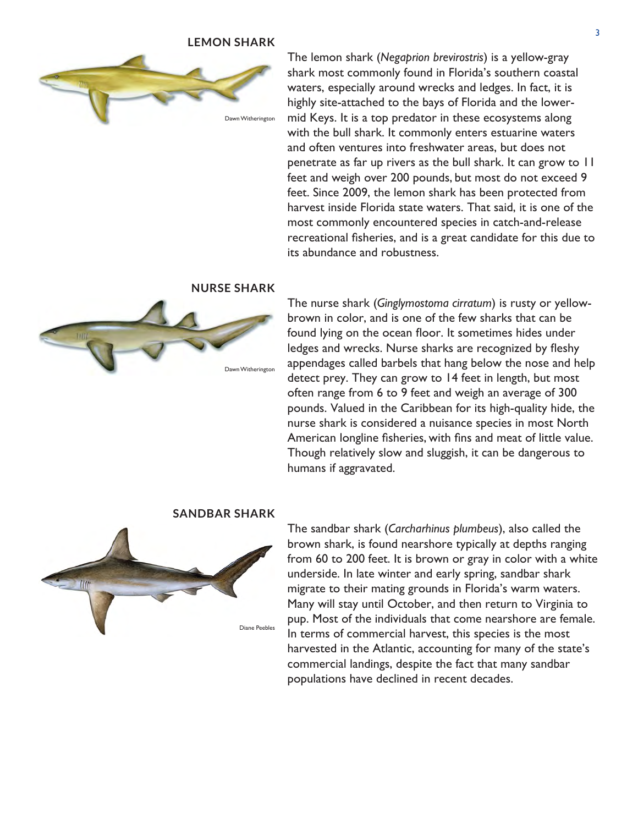#### **LEMON SHARK**



The lemon shark (*Negaprion brevirostris*) is a yellow-gray shark most commonly found in Florida's southern coastal waters, especially around wrecks and ledges. In fact, it is highly site-attached to the bays of Florida and the lowermid Keys. It is a top predator in these ecosystems along with the bull shark. It commonly enters estuarine waters and often ventures into freshwater areas, but does not penetrate as far up rivers as the bull shark. It can grow to 11 feet and weigh over 200 pounds, but most do not exceed 9 feet. Since 2009, the lemon shark has been protected from harvest inside Florida state waters. That said, it is one of the most commonly encountered species in catch-and-release recreational fisheries, and is a great candidate for this due to its abundance and robustness.

# **NURSE SHARK**



The nurse shark (*Ginglymostoma cirratum*) is rusty or yellowbrown in color, and is one of the few sharks that can be found lying on the ocean floor. It sometimes hides under ledges and wrecks. Nurse sharks are recognized by fleshy appendages called barbels that hang below the nose and help detect prey. They can grow to 14 feet in length, but most often range from 6 to 9 feet and weigh an average of 300 pounds. Valued in the Caribbean for its high-quality hide, the nurse shark is considered a nuisance species in most North American longline fisheries, with fins and meat of little value. Though relatively slow and sluggish, it can be dangerous to humans if aggravated.

# **SANDBAR SHARK**



The sandbar shark (*Carcharhinus plumbeus*), also called the brown shark, is found nearshore typically at depths ranging from 60 to 200 feet. It is brown or gray in color with a white underside. In late winter and early spring, sandbar shark migrate to their mating grounds in Florida's warm waters. Many will stay until October, and then return to Virginia to pup. Most of the individuals that come nearshore are female. In terms of commercial harvest, this species is the most harvested in the Atlantic, accounting for many of the state's commercial landings, despite the fact that many sandbar populations have declined in recent decades.